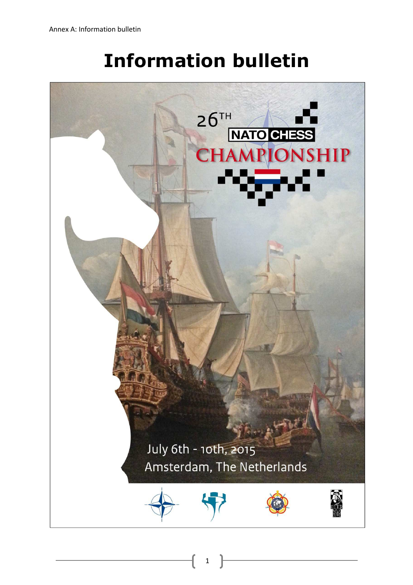# **Information bulletin**

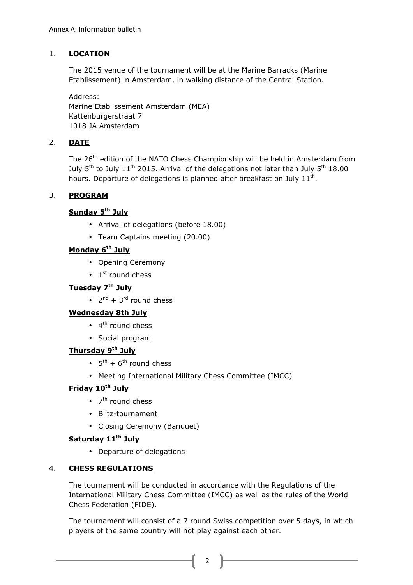# 1. **LOCATION**

The 2015 venue of the tournament will be at the Marine Barracks (Marine Etablissement) in Amsterdam, in walking distance of the Central Station.

Address: Marine Etablissement Amsterdam (MEA) Kattenburgerstraat 7 1018 JA Amsterdam

# 2. **DATE**

The 26<sup>th</sup> edition of the NATO Chess Championship will be held in Amsterdam from July  $5<sup>th</sup>$  to July  $11<sup>th</sup>$  2015. Arrival of the delegations not later than July  $5<sup>th</sup>$  18.00 hours. Departure of delegations is planned after breakfast on July  $11<sup>th</sup>$ .

## 3. **PROGRAM**

# **Sunday 5th July**

- Arrival of delegations (before 18.00)
- Team Captains meeting (20.00)

# **Monday 6th July**

- Opening Ceremony
- $\bullet$  1<sup>st</sup> round chess

# **Tuesday 7th July**

•  $2^{nd}$  + 3<sup>rd</sup> round chess

## **Wednesday 8th July**

- $\bullet$  4<sup>th</sup> round chess
- Social program

# **Thursday 9th July**

- $5<sup>th</sup> + 6<sup>th</sup>$  round chess
- Meeting International Military Chess Committee (IMCC)

## **Friday 10th July**

- 7<sup>th</sup> round chess
- Blitz-tournament
- Closing Ceremony (Banquet)

# **Saturday 11th July**

• Departure of delegations

## 4. **CHESS REGULATIONS**

The tournament will be conducted in accordance with the Regulations of the International Military Chess Committee (IMCC) as well as the rules of the World Chess Federation (FIDE).

The tournament will consist of a 7 round Swiss competition over 5 days, in which players of the same country will not play against each other.

2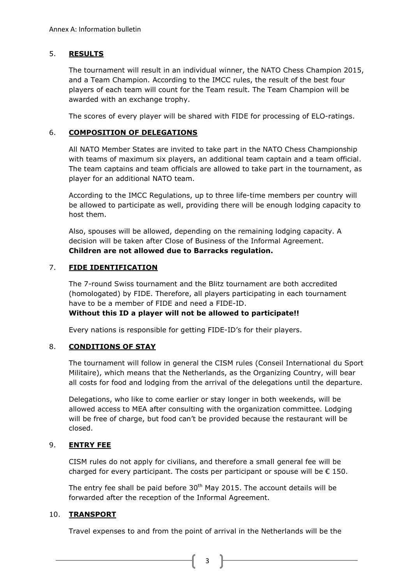### 5. **RESULTS**

The tournament will result in an individual winner, the NATO Chess Champion 2015, and a Team Champion. According to the IMCC rules, the result of the best four players of each team will count for the Team result. The Team Champion will be awarded with an exchange trophy.

The scores of every player will be shared with FIDE for processing of ELO-ratings.

#### 6. **COMPOSITION OF DELEGATIONS**

All NATO Member States are invited to take part in the NATO Chess Championship with teams of maximum six players, an additional team captain and a team official. The team captains and team officials are allowed to take part in the tournament, as player for an additional NATO team.

According to the IMCC Regulations, up to three life-time members per country will be allowed to participate as well, providing there will be enough lodging capacity to host them.

Also, spouses will be allowed, depending on the remaining lodging capacity. A decision will be taken after Close of Business of the Informal Agreement. **Children are not allowed due to Barracks regulation.**

#### 7. **FIDE IDENTIFICATION**

The 7-round Swiss tournament and the Blitz tournament are both accredited (homologated) by FIDE. Therefore, all players participating in each tournament have to be a member of FIDE and need a FIDE-ID.

#### **Without this ID a player will not be allowed to participate!!**

Every nations is responsible for getting FIDE-ID's for their players.

## 8. **CONDITIONS OF STAY**

The tournament will follow in general the CISM rules (Conseil International du Sport Militaire), which means that the Netherlands, as the Organizing Country, will bear all costs for food and lodging from the arrival of the delegations until the departure.

Delegations, who like to come earlier or stay longer in both weekends, will be allowed access to MEA after consulting with the organization committee. Lodging will be free of charge, but food can't be provided because the restaurant will be closed.

## 9. **ENTRY FEE**

CISM rules do not apply for civilians, and therefore a small general fee will be charged for every participant. The costs per participant or spouse will be  $\epsilon$  150.

The entry fee shall be paid before  $30<sup>th</sup>$  May 2015. The account details will be forwarded after the reception of the Informal Agreement.

#### 10. **TRANSPORT**

Travel expenses to and from the point of arrival in the Netherlands will be the